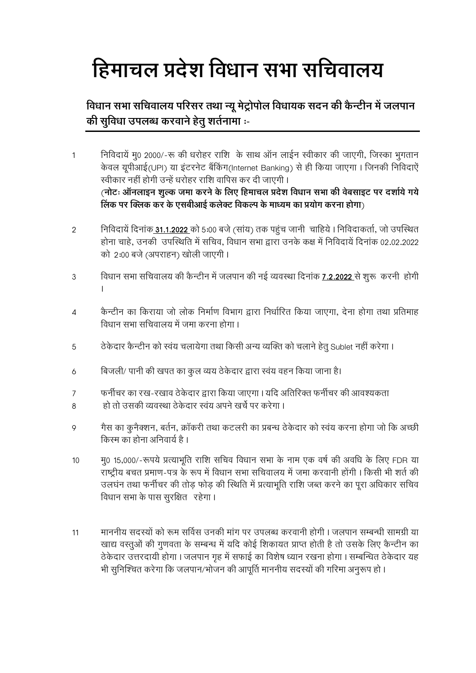## हिमाचल प्रदेश विधान सभा सचिवालय

## विधान सभा सचिवालय परिसर तथा न्यू मेट्रोपोल विधायक सदन की कैन्टीन में जलपान की सुविधा उपलब्ध करवाने हेतू शर्तनामा :-

- निविदायें मू0 2000/-रू की धरोहर राशि के साथ ऑन लाईन स्वीकार की जाएगी, जिस्का भुगतान  $\mathbf{1}$ केवल यूपीआई(UPI) या इंटरनेट बैंकिंग(Internet Banking) से ही किया जाएगा। जिनकी निविदाऐं स्वीकार नहीं होगी उन्हें धरोहर राशि वापिस कर दी जाएगी। (नोटः ऑनलाइन शल्क जमा करने के लिए हिमाचल प्रदेश विधान सभा की वेबसाइट पर दर्शाये गये) लिंक पर क्लिक कर के एसबीआई कलेक्ट विकल्प के माध्यम का प्रयोग करना होगा)
- निविदायें दिनांक 31.1.2022 को 5:00 बजे (सांय) तक पहुंच जानी चाहिये । निविदाकर्ता, जो उपस्थित  $\overline{2}$ होना चाहे, उनकी उपस्थिति में सचिव, विधान सभा द्वारा उनके कक्ष में निविदायें दिनांक 02.02.2022 को 2:00 बजे (अपराहन) खोली जाएगी।
- विधान सभा सचिवालय की कैन्टीन में जलपान की नई व्यवस्था दिनांक 7.2.2022 से शुरू करनी होगी  $\mathfrak{S}$  $\mathbf{I}$
- कैन्टीन का किराया जो लोक निर्माण विभाग द्वारा निर्धारित किया जाएगा. देना होगा तथा प्रतिमाह  $\overline{4}$ विधान सभा सचिवालय में जमा करना होगा ।
- ठेकेदार कैन्टीन को स्वंय चलायेगा तथा किसी अन्य व्यक्ति को चलाने हेतू Sublet नहीं करेगा। 5
- बिजली/ पानी की खपत का कुल व्यय ठेकेदार द्वारा स्वंय वहन किया जाना है।  $\delta$
- फर्नीचर का रख-रखाव ठेकेदार द्वारा किया जाएगा। यदि अतिरिक्त फर्नीचर की आवश्यकता  $\overline{7}$
- हो तो उसकी व्यवस्था ठेकेदार स्वंय अपने खर्चे पर करेगा ।  $\beta$
- गैस का कुनैक्शन, बर्तन, क्रॉकरी तथा कटलरी का प्रबन्ध ठेकेदार को स्वंय करना होगा जो कि अच्छी  $\circ$ किस्म का होना अनिवार्य है ।
- म0 15,000/-रूपये प्रत्याभूति राशि सचिव विधान सभा के नाम एक वर्ष की अवधि के लिए FDR या  $10$ राष्ट्रीय बचत प्रमाण-पत्र के रूप में विधान सभा सचिवालय में जमा करवानी होंगी। किसी भी शर्त की उलघंन तथा फर्नीचर की तोड़ फोड़ की स्थिति में प्रत्याभूति राशि जब्त करने का पूरा अधिकार सचिव विधान सभा के पास सूरक्षित रहेगा।
- माननीय सदस्यों को रूम सर्विस उनकी मांग पर उपलब्ध करवानी होगी। जलपान सम्बन्धी सामग्री या 11 खाद्य वस्तुओं की गुणवता के सम्बन्ध में यदि कोई शिकायत प्राप्त होती है तो उसके लिए कैन्टीन का ठेकेदार उत्तरदायी होगा । जलपान गृह में सफाई का विशेष ध्यान रखना होगा । सम्बन्धित ठेकेदार यह भी सुनिश्चित करेगा कि जलपान/भोजन की आपूर्ति माननीय सदस्यों की गरिमा अनुरूप हो ।